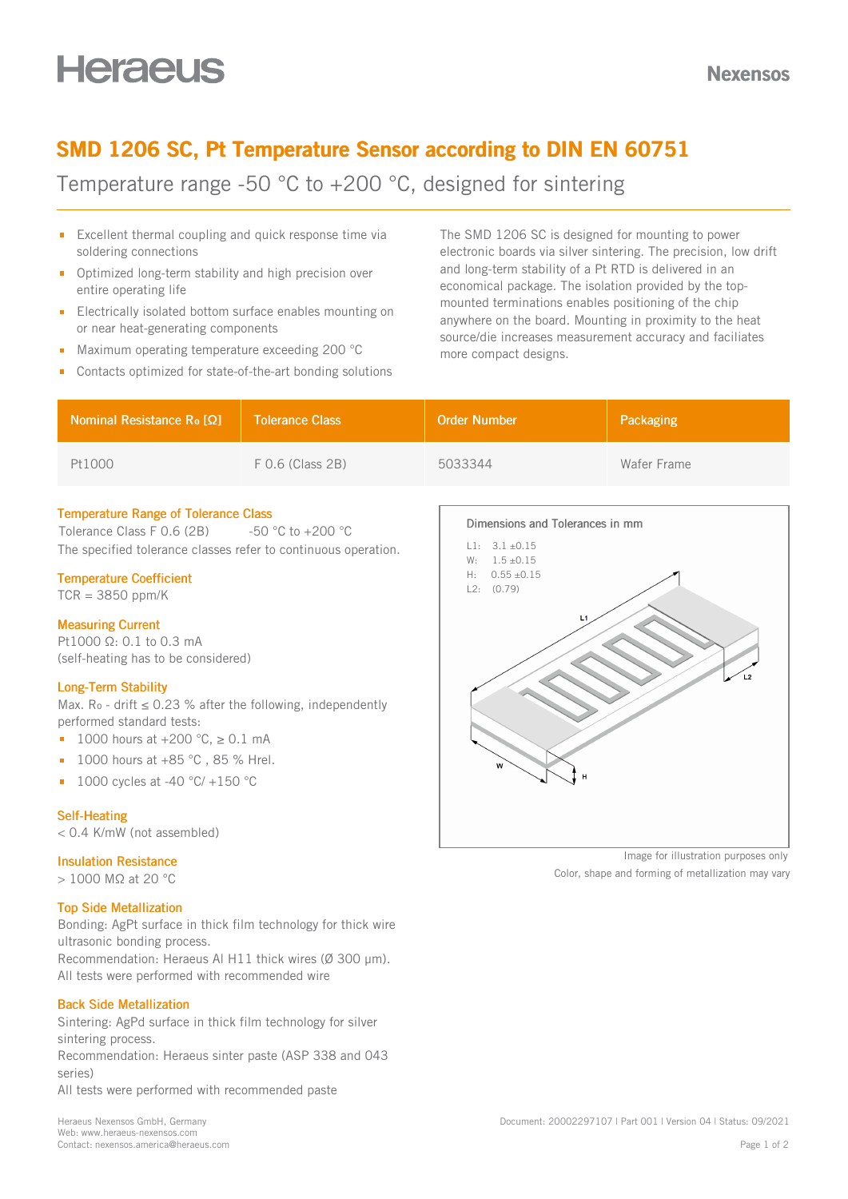Nexensos

### SMD 1206 SC, Pt Temperature Sensor according to DIN EN 60751

Temperature range -50 °C to +200 °C, designed for sintering

- $\blacksquare$  Excellent thermal coupling and quick response time via soldering connections
- **D** Optimized long-term stability and high precision over entire operating life
- **Electrically isolated bottom surface enables mounting on** or near heat-generating components
- Maximum operating temperature exceeding 200 °C
- Contacts optimized for state-of-the-art bonding solutions

The SMD 1206 SC is designed for mounting to power electronic boards via silver sintering. The precision, low drift and long-term stability of a Pt RTD is delivered in an economical package. The isolation provided by the topmounted terminations enables positioning of the chip anywhere on the board. Mounting in proximity to the heat source/die increases measurement accuracy and faciliates more compact designs.

| Nominal Resistance R <sub>o</sub> [Ω] | Tolerance Class    | <b>Order Number</b> | Packaging   |
|---------------------------------------|--------------------|---------------------|-------------|
| Pt1000                                | $F$ 0.6 (Class 2B) | 5033344             | Wafer Frame |

### Temperature Range of Tolerance Class

Tolerance Class F 0.6 (2B)  $-50$  °C to +200 °C The specified tolerance classes refer to continuous operation.

### Temperature Coefficient

 $TCR = 3850$  ppm/K

### Measuring Current

Pt1000 Ω: 0.1 to 0.3 mA (self-heating has to be considered)

### Long-Term Stability

Max.  $Ro$  - drift  $\leq$  0.23 % after the following, independently performed standard tests:

- 1000 hours at  $+200$  °C,  $\geq 0.1$  mA
- $1000$  hours at  $+85$  °C, 85 % Hrel.
- 1000 cycles at -40 °C/ +150 °C  $\blacksquare$

### Self-Heating

< 0.4 K/mW (not assembled)

### Insulation Resistance

> 1000 MΩ at 20 °C

### Top Side Metallization

Bonding: AgPt surface in thick film technology for thick wire ultrasonic bonding process. Recommendation: Heraeus Al H11 thick wires (Ø 300 um). All tests were performed with recommended wire

### Back Side Metallization

Sintering: AgPd surface in thick film technology for silver sintering process. Recommendation: Heraeus sinter paste (ASP 338 and 043 series) All tests were performed with recommended paste



Image for illustration purposes only

Color, shape and forming of metallization may vary